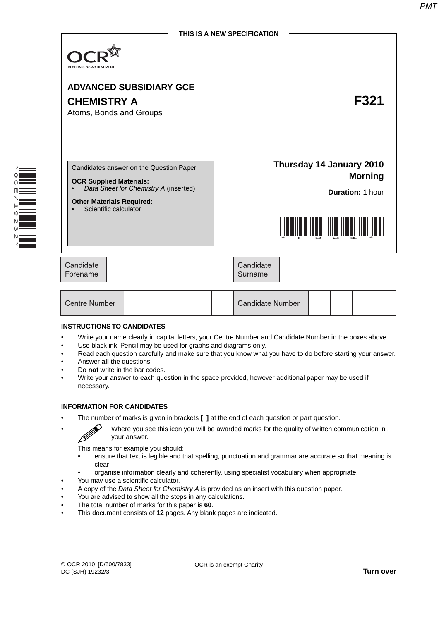

# **ADVANCED SUBSIDIARY GCE CHEMISTRY A F321** Atoms, Bonds and Groups <u>\*F321. September 1989. ISBN 1999.</u> Candidates answer on the Question Paper **OCR Supplied Materials:** • *Data Sheet for Chemistry A* (inserted) **Other Materials Required:** Scientific calculator **Thursday 14 January 2010**

| Candidate<br>Forename |  | Candidate<br>Surname |  |
|-----------------------|--|----------------------|--|
|-----------------------|--|----------------------|--|

| Centre Number |  |  |  |  | Candidate Number |  |  |  |  |  |
|---------------|--|--|--|--|------------------|--|--|--|--|--|
|---------------|--|--|--|--|------------------|--|--|--|--|--|

#### **INSTRUCTIONS TO CANDIDATES**

- Write your name clearly in capital letters, your Centre Number and Candidate Number in the boxes above.
- Use black ink. Pencil may be used for graphs and diagrams only.
- Read each question carefully and make sure that you know what you have to do before starting your answer.
- Answer **all** the questions.
- Do **not** write in the bar codes.
- Write your answer to each question in the space provided, however additional paper may be used if necessary.

#### **INFORMATION FOR CANDIDATES**

B

• The number of marks is given in brackets **[ ]** at the end of each question or part question.

• Where you see this icon you will be awarded marks for the quality of written communication in your answer.

This means for example you should:

- ensure that text is legible and that spelling, punctuation and grammar are accurate so that meaning is clear;
- organise information clearly and coherently, using specialist vocabulary when appropriate.
- You may use a scientific calculator.
- A copy of the *Data Sheet for Chemistry A* is provided as an insert with this question paper.
- You are advised to show all the steps in any calculations.
- The total number of marks for this paper is **60**.
- This document consists of **12** pages. Any blank pages are indicated.

**Morning**

**Duration:** 1 hour

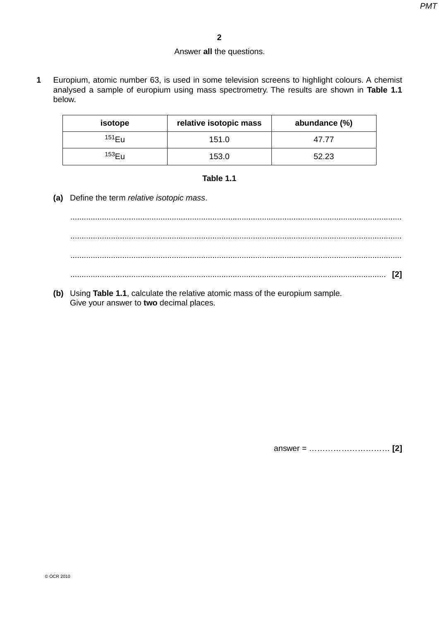#### Answer **all** the questions.

**1** Europium, atomic number 63, is used in some television screens to highlight colours. A chemist analysed a sample of europium using mass spectrometry. The results are shown in **Table 1.1**  below.

| isotope            | relative isotopic mass | abundance (%) |
|--------------------|------------------------|---------------|
| $151$ Eu           | 151.0                  | 47.77         |
| 153 <sub>F11</sub> | 153.0                  | 52.23         |

# **Table 1.1**

 **(a)** Define the term *relative isotopic mass*.

 ................................................................................................................................................... ................................................................................................................................................... ................................................................................................................................................... ............................................................................................................................................ **[2]**

 **(b)** Using **Table 1.1**, calculate the relative atomic mass of the europium sample. Give your answer to **two** decimal places.

answer = ………………………… **[2]**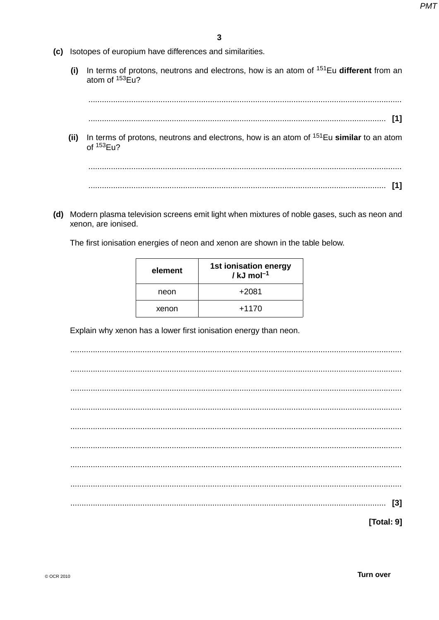- (c) Isotopes of europium have differences and similarities.
	- In terms of protons, neutrons and electrons, how is an atom of <sup>151</sup>Eu different from an  $(i)$ atom of  $153E12$

(ii) In terms of protons, neutrons and electrons, how is an atom of  $151$ Eu similar to an atom of  $153$ Eu?

(d) Modern plasma television screens emit light when mixtures of noble gases, such as neon and xenon, are ionised.

The first ionisation energies of neon and xenon are shown in the table below.

| element | 1st ionisation energy<br>/ kJ mol $^{-1}$ |
|---------|-------------------------------------------|
| neon    | $+2081$                                   |
| xenon   | $+1170$                                   |

Explain why xenon has a lower first ionisation energy than neon.

|  |  |  |  |  |  |  |  |  | [Total: 9] |  |
|--|--|--|--|--|--|--|--|--|------------|--|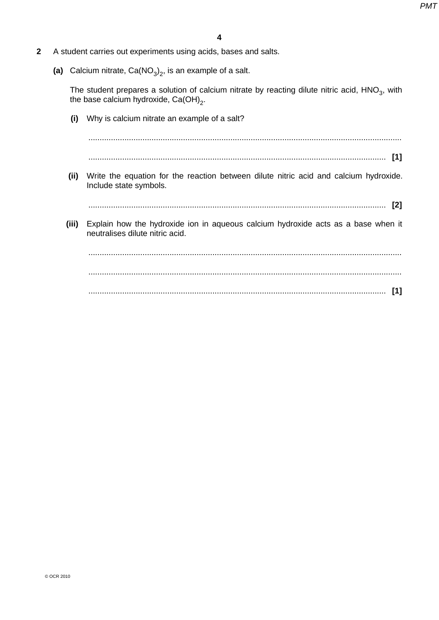- **2** A student carries out experiments using acids, bases and salts.
- (a) Calcium nitrate,  $Ca(NO<sub>3</sub>)<sub>2</sub>$ , is an example of a salt.

The student prepares a solution of calcium nitrate by reacting dilute nitric acid, HNO<sub>3</sub>, with the base calcium hydroxide,  $\text{Ca}(\text{OH})_2$ .

| (i) Why is calcium nitrate an example of a salt?                                                                              |
|-------------------------------------------------------------------------------------------------------------------------------|
|                                                                                                                               |
| $\lceil 1 \rceil$                                                                                                             |
| Write the equation for the reaction between dilute nitric acid and calcium hydroxide.<br>(ii)<br>Include state symbols.       |
| $\mathbf{[2]}$                                                                                                                |
| Explain how the hydroxide ion in aqueous calcium hydroxide acts as a base when it<br>(iii)<br>neutralises dilute nitric acid. |
|                                                                                                                               |
|                                                                                                                               |
| [1]                                                                                                                           |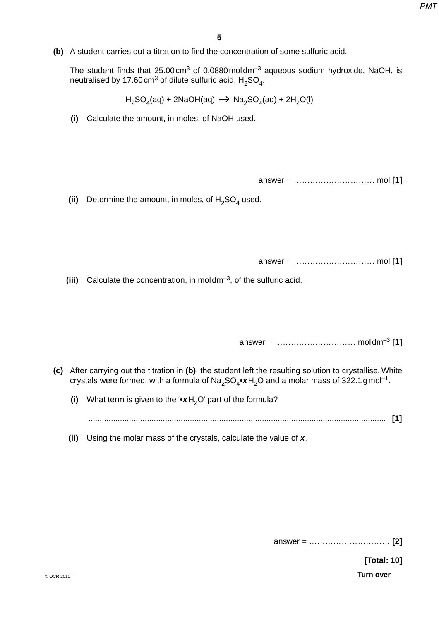**(b)** A student carries out a titration to find the concentration of some sulfuric acid.

The student finds that 25.00 cm3 of 0.0880 mol dm–3 aqueous sodium hydroxide, NaOH, is neutralised by 17.60 cm<sup>3</sup> of dilute sulfuric acid,  $H_2SO_4$ .

 $H_2SO_4(aq) + 2NaOH(aq) \rightarrow Na_2SO_4(aq) + 2H_2O(l)$ 

 **(i)** Calculate the amount, in moles, of NaOH used.

answer = ………………………… mol **[1]**

(ii) Determine the amount, in moles, of  $H<sub>2</sub>SO<sub>4</sub>$  used.

answer = ………………………… mol **[1]**

 **(iii)** Calculate the concentration, in mol dm–3, of the sulfuric acid.

answer = ………………………… mol dm–3 **[1]**

- **(c)** After carrying out the titration in **(b)**, the student left the resulting solution to crystallise. White crystals were formed, with a formula of  $Na<sub>2</sub>SO<sub>4</sub>•xH<sub>2</sub>O$  and a molar mass of 322.1 gmol<sup>-1</sup>.
	- **(i)** What term is given to the '•**x**H<sub>2</sub>O' part of the formula?

.................................................................................................................................... **[1]**

 **(ii)** Using the molar mass of the crystals, calculate the value of *x*.

answer = ………………………… **[2]**

 **[Total: 10]**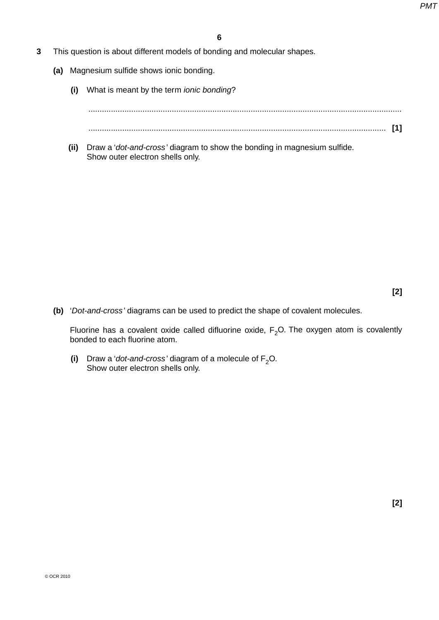- **3** This question is about different models of bonding and molecular shapes.
	- **(a)** Magnesium sulfide shows ionic bonding.
		- **(i)** What is meant by the term *ionic bonding*?

...........................................................................................................................................

- .................................................................................................................................... **[1]**
- **(ii)** Draw a '*dot-and-cross* ' diagram to show the bonding in magnesium sulfide. Show outer electron shells only.

**[2]**

 **(b)** '*Dot-and-cross* ' diagrams can be used to predict the shape of covalent molecules.

Fluorine has a covalent oxide called difluorine oxide,  $F<sub>2</sub>O$ . The oxygen atom is covalently bonded to each fluorine atom.

(i) Draw a '*dot-and-cross*' diagram of a molecule of  $F_2O$ . Show outer electron shells only.

**[2]**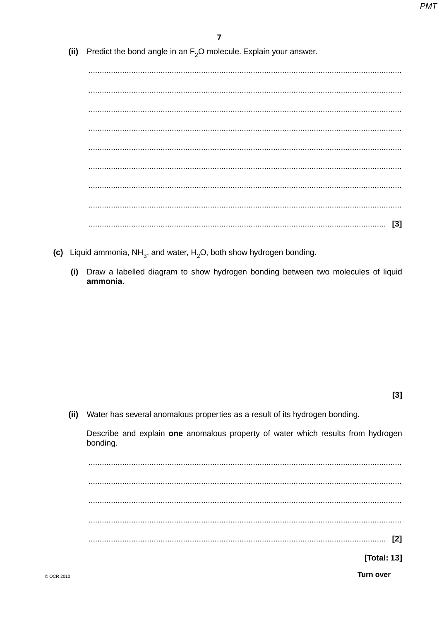(ii) Predict the bond angle in an  $F<sub>2</sub>O$  molecule. Explain your answer.

- (c) Liquid ammonia,  $NH_{3}$ , and water, H<sub>2</sub>O, both show hydrogen bonding.
	- Draw a labelled diagram to show hydrogen bonding between two molecules of liquid  $(i)$ ammonia.

 $[3]$ 

(ii) Water has several anomalous properties as a result of its hydrogen bonding.

Describe and explain one anomalous property of water which results from hydrogen bonding.

[Total: 13]

**Turn over**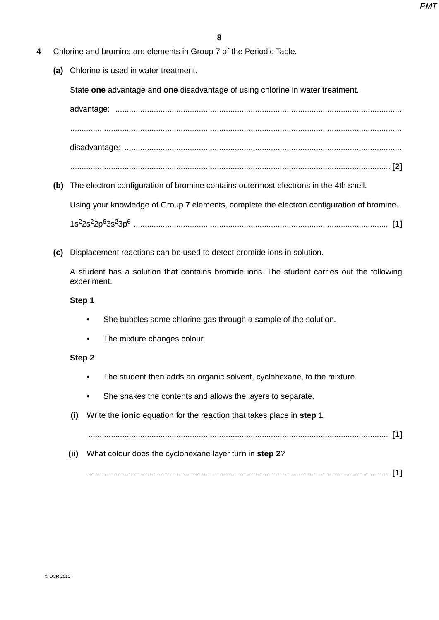- **4** Chlorine and bromine are elements in Group 7 of the Periodic Table.
	- **(a)** Chlorine is used in water treatment.

State **one** advantage and **one** disadvantage of using chlorine in water treatment.

advantage: ............................................................................................................................... ................................................................................................................................................... disadvantage: ...........................................................................................................................

- .............................................................................................................................................. **[2]**
- **(b)** The electron configuration of bromine contains outermost electrons in the 4th shell.

Using your knowledge of Group 7 elements, complete the electron configuration of bromine.

1s22s22p63s23p6 ................................................................................................................. **[1]** 

 **(c)** Displacement reactions can be used to detect bromide ions in solution.

A student has a solution that contains bromide ions. The student carries out the following experiment.

# **Step 1**

- She bubbles some chlorine gas through a sample of the solution.
- The mixture changes colour.

# **Step 2**

- The student then adds an organic solvent, cyclohexane, to the mixture.
- She shakes the contents and allows the layers to separate.
- **(i)** Write the **ionic** equation for the reaction that takes place in **step 1**.

..................................................................................................................................... **[1]**

 **(ii)** What colour does the cyclohexane layer turn in **step 2**?

..................................................................................................................................... **[1]**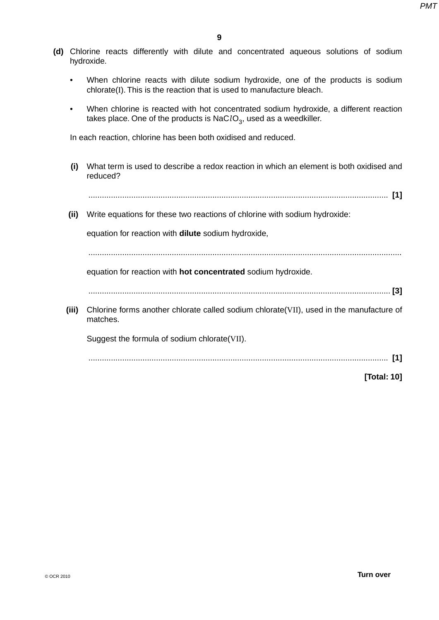- **(d)** Chlorine reacts differently with dilute and concentrated aqueous solutions of sodium hydroxide.
	- When chlorine reacts with dilute sodium hydroxide, one of the products is sodium chlorate(I). This is the reaction that is used to manufacture bleach.
	- When chlorine is reacted with hot concentrated sodium hydroxide, a different reaction takes place. One of the products is NaClO<sub>3</sub>, used as a weedkiller.

In each reaction, chlorine has been both oxidised and reduced.

- **(i)** What term is used to describe a redox reaction in which an element is both oxidised and reduced?
	- ..................................................................................................................................... **[1]**
- **(ii)** Write equations for these two reactions of chlorine with sodium hydroxide:

equation for reaction with **dilute** sodium hydroxide,

...........................................................................................................................................

equation for reaction with **hot concentrated** sodium hydroxide.

- ...................................................................................................................................... **[3]**
- **(iii)** Chlorine forms another chlorate called sodium chlorate(VII), used in the manufacture of matches.

Suggest the formula of sodium chlorate(VII).

..................................................................................................................................... **[1]**

**[Total: 10]**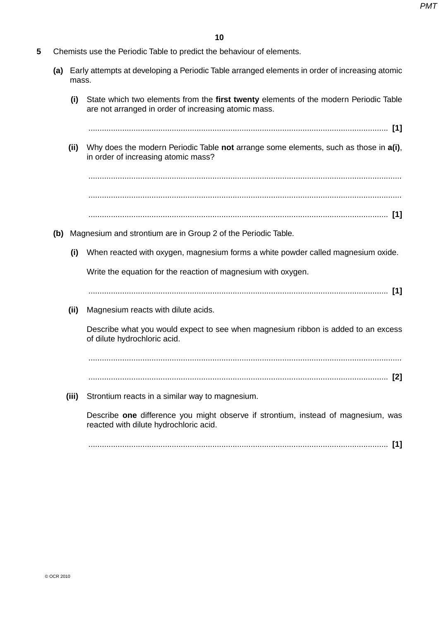- **5** Chemists use the Periodic Table to predict the behaviour of elements.
	- **(a)** Early attempts at developing a Periodic Table arranged elements in order of increasing atomic mass.
		- **(i)** State which two elements from the **first twenty** elements of the modern Periodic Table are not arranged in order of increasing atomic mass.

..................................................................................................................................... **[1]**

 **(ii)** Why does the modern Periodic Table **not** arrange some elements, such as those in **a(i)**, in order of increasing atomic mass?

 ........................................................................................................................................... ........................................................................................................................................... ..................................................................................................................................... **[1]**

- **(b)** Magnesium and strontium are in Group 2 of the Periodic Table.
	- **(i)** When reacted with oxygen, magnesium forms a white powder called magnesium oxide.

Write the equation for the reaction of magnesium with oxygen.

..................................................................................................................................... **[1]**

 **(ii)** Magnesium reacts with dilute acids.

Describe what you would expect to see when magnesium ribbon is added to an excess of dilute hydrochloric acid.

 ........................................................................................................................................... ..................................................................................................................................... **[2]**

- 
- **(iii)** Strontium reacts in a similar way to magnesium.

Describe **one** difference you might observe if strontium, instead of magnesium, was reacted with dilute hydrochloric acid.

..................................................................................................................................... **[1]**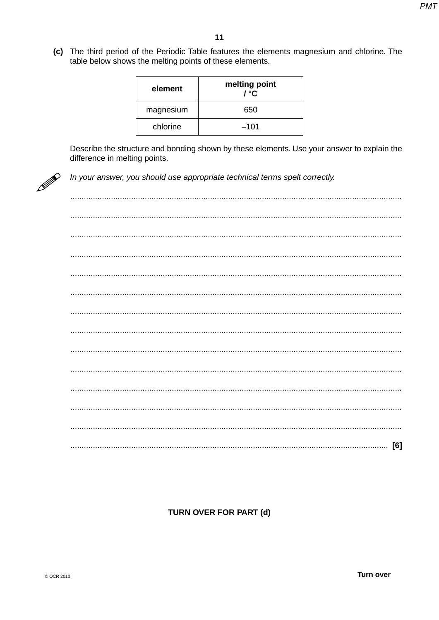(c) The third period of the Periodic Table features the elements magnesium and chlorine. The table below shows the melting points of these elements.

| element   | melting point<br>/ °C |
|-----------|-----------------------|
| magnesium | 650                   |
| chlorine  | $-101$                |

Describe the structure and bonding shown by these elements. Use your answer to explain the difference in melting points.



In your answer, you should use appropriate technical terms spelt correctly.

# **TURN OVER FOR PART (d)**